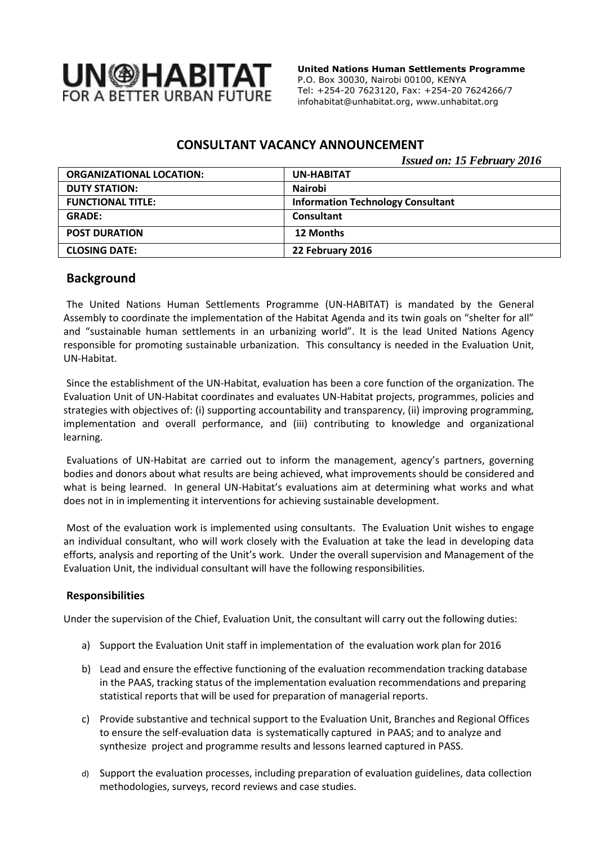

 **United Nations Human Settlements Programme** P.O. Box 30030, Nairobi 00100, KENYA Tel: +254-20 7623120, Fax: +254-20 7624266/7 [infohabitat@unhabitat.org,](mailto:infohabitat@unhabitat.org) www.unhabitat.org

## **CONSULTANT VACANCY ANNOUNCEMENT**

*Issued on: 15 February 2016*

| <b>ORGANIZATIONAL LOCATION:</b> | <b>UN-HABITAT</b>                        |
|---------------------------------|------------------------------------------|
| <b>DUTY STATION:</b>            | <b>Nairobi</b>                           |
| <b>FUNCTIONAL TITLE:</b>        | <b>Information Technology Consultant</b> |
| <b>GRADE:</b>                   | <b>Consultant</b>                        |
| <b>POST DURATION</b>            | 12 Months                                |
| <b>CLOSING DATE:</b>            | 22 February 2016                         |

#### **Background**

The United Nations Human Settlements Programme (UN-HABITAT) is mandated by the General Assembly to coordinate the implementation of the Habitat Agenda and its twin goals on "shelter for all" and "sustainable human settlements in an urbanizing world". It is the lead United Nations Agency responsible for promoting sustainable urbanization. This consultancy is needed in the Evaluation Unit, UN-Habitat.

Since the establishment of the UN-Habitat, evaluation has been a core function of the organization. The Evaluation Unit of UN-Habitat coordinates and evaluates UN-Habitat projects, programmes, policies and strategies with objectives of: (i) supporting accountability and transparency, (ii) improving programming, implementation and overall performance, and (iii) contributing to knowledge and organizational learning.

Evaluations of UN-Habitat are carried out to inform the management, agency's partners, governing bodies and donors about what results are being achieved, what improvements should be considered and what is being learned. In general UN-Habitat's evaluations aim at determining what works and what does not in in implementing it interventions for achieving sustainable development.

Most of the evaluation work is implemented using consultants. The Evaluation Unit wishes to engage an individual consultant, who will work closely with the Evaluation at take the lead in developing data efforts, analysis and reporting of the Unit's work. Under the overall supervision and Management of the Evaluation Unit, the individual consultant will have the following responsibilities.

#### **Responsibilities**

Under the supervision of the Chief, Evaluation Unit, the consultant will carry out the following duties:

- a) Support the Evaluation Unit staff in implementation of the evaluation work plan for 2016
- b) Lead and ensure the effective functioning of the evaluation recommendation tracking database in the PAAS, tracking status of the implementation evaluation recommendations and preparing statistical reports that will be used for preparation of managerial reports.
- c) Provide substantive and technical support to the Evaluation Unit, Branches and Regional Offices to ensure the self-evaluation data is systematically captured in PAAS; and to analyze and synthesize project and programme results and lessons learned captured in PASS.
- d) Support the evaluation processes, including preparation of evaluation guidelines, data collection methodologies, surveys, record reviews and case studies.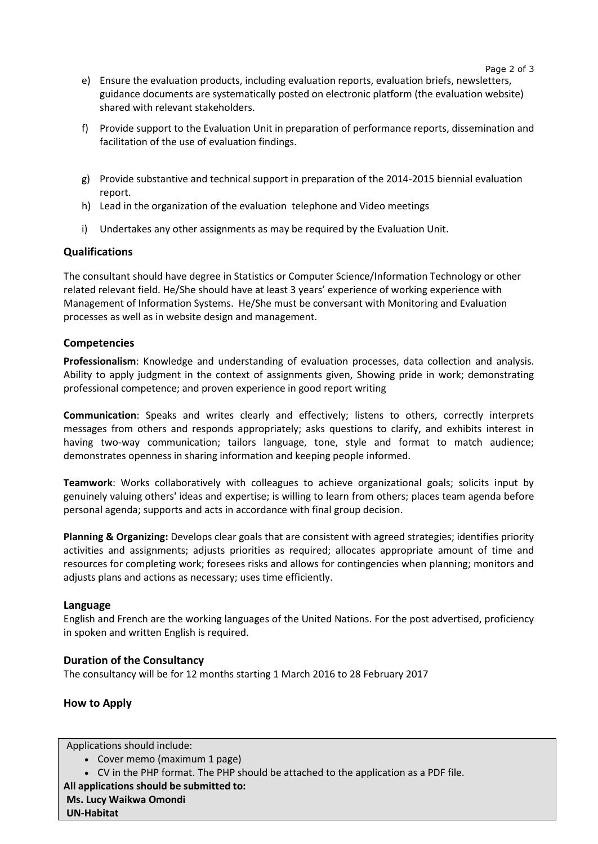- e) Ensure the evaluation products, including evaluation reports, evaluation briefs, newsletters, guidance documents are systematically posted on electronic platform (the evaluation website) shared with relevant stakeholders.
- f) Provide support to the Evaluation Unit in preparation of performance reports, dissemination and facilitation of the use of evaluation findings.
- g) Provide substantive and technical support in preparation of the 2014-2015 biennial evaluation report.
- h) Lead in the organization of the evaluation telephone and Video meetings
- i) Undertakes any other assignments as may be required by the Evaluation Unit.

### **Qualifications**

The consultant should have degree in Statistics or Computer Science/Information Technology or other related relevant field. He/She should have at least 3 years' experience of working experience with Management of Information Systems. He/She must be conversant with Monitoring and Evaluation processes as well as in website design and management.

#### **Competencies**

**Professionalism**: Knowledge and understanding of evaluation processes, data collection and analysis. Ability to apply judgment in the context of assignments given, Showing pride in work; demonstrating professional competence; and proven experience in good report writing

**Communication**: Speaks and writes clearly and effectively; listens to others, correctly interprets messages from others and responds appropriately; asks questions to clarify, and exhibits interest in having two-way communication; tailors language, tone, style and format to match audience; demonstrates openness in sharing information and keeping people informed.

**Teamwork**: Works collaboratively with colleagues to achieve organizational goals; solicits input by genuinely valuing others' ideas and expertise; is willing to learn from others; places team agenda before personal agenda; supports and acts in accordance with final group decision.

**Planning & Organizing:** Develops clear goals that are consistent with agreed strategies; identifies priority activities and assignments; adjusts priorities as required; allocates appropriate amount of time and resources for completing work; foresees risks and allows for contingencies when planning; monitors and adjusts plans and actions as necessary; uses time efficiently.

#### **Language**

English and French are the working languages of the United Nations. For the post advertised, proficiency in spoken and written English is required.

#### **Duration of the Consultancy**

The consultancy will be for 12 months starting 1 March 2016 to 28 February 2017

#### **How to Apply**

Applications should include:

- Cover memo (maximum 1 page)
- CV in the PHP format. The PHP should be attached to the application as a PDF file.

**All applications should be submitted to:**

**Ms. Lucy Waikwa Omondi**

**UN-Habitat**